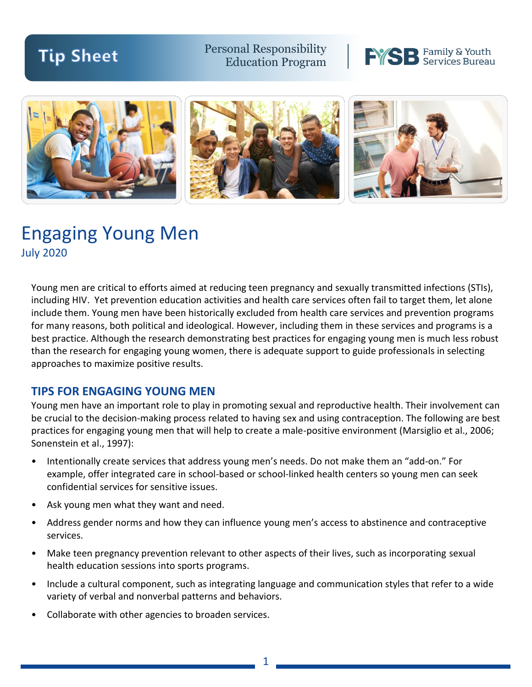# **Tip Sheet**

Personal Responsibility Education Program





## Engaging Young Men July 2020

Young men are critical to efforts aimed at reducing teen pregnancy and sexually transmitted infections (STIs), including HIV. Yet prevention education activities and health care services often fail to target them, let alone include them. Young men have been historically excluded from health care services and prevention programs for many reasons, both political and ideological. However, including them in these services and programs is a best practice. Although the research demonstrating best practices for engaging young men is much less robust than the research for engaging young women, there is adequate support to guide professionals in selecting approaches to maximize positive results.

#### **TIPS FOR ENGAGING YOUNG MEN**

Young men have an important role to play in promoting sexual and reproductive health. Their involvement can be crucial to the decision-making process related to having sex and using contraception. The following are best practices for engaging young men that will help to create a male-positive environment (Marsiglio et al., 2006; Sonenstein et al., 1997):

- Intentionally create services that address young men's needs. Do not make them an "add-on." For example, offer integrated care in school-based or school-linked health centers so young men can seek confidential services for sensitive issues.
- Ask young men what they want and need.
- Address gender norms and how they can influence young men's access to abstinence and contraceptive services.
- Make teen pregnancy prevention relevant to other aspects of their lives, such as incorporating sexual health education sessions into sports programs.
- Include a cultural component, such as integrating language and communication styles that refer to a wide variety of verbal and nonverbal patterns and behaviors.
- Collaborate with other agencies to broaden services.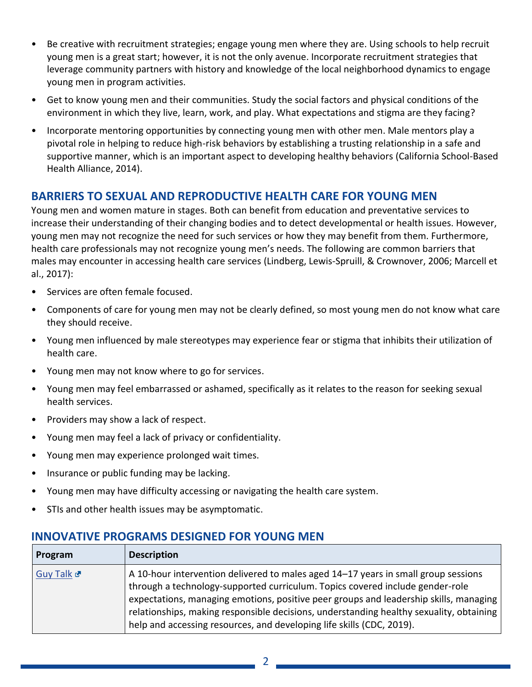- Be creative with recruitment strategies; engage young men where they are. Using schools to help recruit young men is a great start; however, it is not the only avenue. Incorporate recruitment strategies that leverage community partners with history and knowledge of the local neighborhood dynamics to engage young men in program activities.
- Get to know young men and their communities. Study the social factors and physical conditions of the environment in which they live, learn, work, and play. What expectations and stigma are they facing?
- Incorporate mentoring opportunities by connecting young men with other men. Male mentors play a pivotal role in helping to reduce high-risk behaviors by establishing a trusting relationship in a safe and supportive manner, which is an important aspect to developing healthy behaviors (California School-Based Health Alliance, 2014).

### **BARRIERS TO SEXUAL AND REPRODUCTIVE HEALTH CARE FOR YOUNG MEN**

Young men and women mature in stages. Both can benefit from education and preventative services to increase their understanding of their changing bodies and to detect developmental or health issues. However, young men may not recognize the need for such services or how they may benefit from them. Furthermore, health care professionals may not recognize young men's needs. The following are common barriers that males may encounter in accessing health care services (Lindberg, Lewis-Spruill, & Crownover, 2006; Marcell et al., 2017):

- Services are often female focused.
- Components of care for young men may not be clearly defined, so most young men do not know what care they should receive.
- Young men influenced by male stereotypes may experience fear or stigma that inhibits their utilization of health care.
- Young men may not know where to go for services.
- Young men may feel embarrassed or ashamed, specifically as it relates to the reason for seeking sexual health services.
- Providers may show a lack of respect.
- Young men may feel a lack of privacy or confidentiality.
- Young men may experience prolonged wait times.
- Insurance or public funding may be lacking.
- Young men may have difficulty accessing or navigating the health care system.
- STIs and other health issues may be asymptomatic.

#### **INNOVATIVE PROGRAMS DESIGNED FOR YOUNG MEN**

| Program    | <b>Description</b>                                                                                                                                                                                                                                                                                                                                                                                                                 |
|------------|------------------------------------------------------------------------------------------------------------------------------------------------------------------------------------------------------------------------------------------------------------------------------------------------------------------------------------------------------------------------------------------------------------------------------------|
| Guy Talk & | A 10-hour intervention delivered to males aged 14-17 years in small group sessions<br>through a technology-supported curriculum. Topics covered include gender-role<br>expectations, managing emotions, positive peer groups and leadership skills, managing  <br>relationships, making responsible decisions, understanding healthy sexuality, obtaining<br>help and accessing resources, and developing life skills (CDC, 2019). |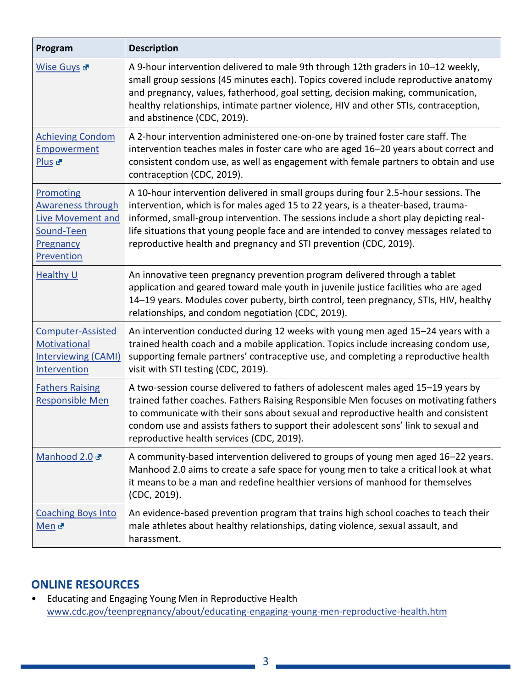| Program                                                                                                           | <b>Description</b>                                                                                                                                                                                                                                                                                                                                                                                                              |
|-------------------------------------------------------------------------------------------------------------------|---------------------------------------------------------------------------------------------------------------------------------------------------------------------------------------------------------------------------------------------------------------------------------------------------------------------------------------------------------------------------------------------------------------------------------|
| Wise Guys <sup>&amp;</sup>                                                                                        | A 9-hour intervention delivered to male 9th through 12th graders in 10-12 weekly,<br>small group sessions (45 minutes each). Topics covered include reproductive anatomy<br>and pregnancy, values, fatherhood, goal setting, decision making, communication,<br>healthy relationships, intimate partner violence, HIV and other STIs, contraception,<br>and abstinence (CDC, 2019).                                             |
| <b>Achieving Condom</b><br>Empowerment<br>Plus <sub>c</sub>                                                       | A 2-hour intervention administered one-on-one by trained foster care staff. The<br>intervention teaches males in foster care who are aged 16-20 years about correct and<br>consistent condom use, as well as engagement with female partners to obtain and use<br>contraception (CDC, 2019).                                                                                                                                    |
| <b>Promoting</b><br><b>Awareness through</b><br><b>Live Movement and</b><br>Sound-Teen<br>Pregnancy<br>Prevention | A 10-hour intervention delivered in small groups during four 2.5-hour sessions. The<br>intervention, which is for males aged 15 to 22 years, is a theater-based, trauma-<br>informed, small-group intervention. The sessions include a short play depicting real-<br>life situations that young people face and are intended to convey messages related to<br>reproductive health and pregnancy and STI prevention (CDC, 2019). |
| <b>Healthy U</b>                                                                                                  | An innovative teen pregnancy prevention program delivered through a tablet<br>application and geared toward male youth in juvenile justice facilities who are aged<br>14-19 years. Modules cover puberty, birth control, teen pregnancy, STIs, HIV, healthy<br>relationships, and condom negotiation (CDC, 2019).                                                                                                               |
| Computer-Assisted<br>Motivational<br><b>Interviewing (CAMI)</b><br>Intervention                                   | An intervention conducted during 12 weeks with young men aged 15-24 years with a<br>trained health coach and a mobile application. Topics include increasing condom use,<br>supporting female partners' contraceptive use, and completing a reproductive health<br>visit with STI testing (CDC, 2019).                                                                                                                          |
| <b>Fathers Raising</b><br>Responsible Men                                                                         | A two-session course delivered to fathers of adolescent males aged 15-19 years by<br>trained father coaches. Fathers Raising Responsible Men focuses on motivating fathers<br>to communicate with their sons about sexual and reproductive health and consistent<br>condom use and assists fathers to support their adolescent sons' link to sexual and<br>reproductive health services (CDC, 2019).                            |
| Manhood 2.0                                                                                                       | A community-based intervention delivered to groups of young men aged 16–22 years.<br>Manhood 2.0 aims to create a safe space for young men to take a critical look at what<br>it means to be a man and redefine healthier versions of manhood for themselves<br>(CDC, 2019).                                                                                                                                                    |
| <b>Coaching Boys Into</b><br>Men <sub>d</sub>                                                                     | An evidence-based prevention program that trains high school coaches to teach their<br>male athletes about healthy relationships, dating violence, sexual assault, and<br>harassment.                                                                                                                                                                                                                                           |

### **ONLINE RESOURCES**

• Educating and Engaging Young Men in Reproductive Health [www.cdc.gov/teenpregnancy/about/educating-engaging-young-men-reproductive-health.htm](http://www.cdc.gov/teenpregnancy/about/educating-engaging-young-men-reproductive-health.htm)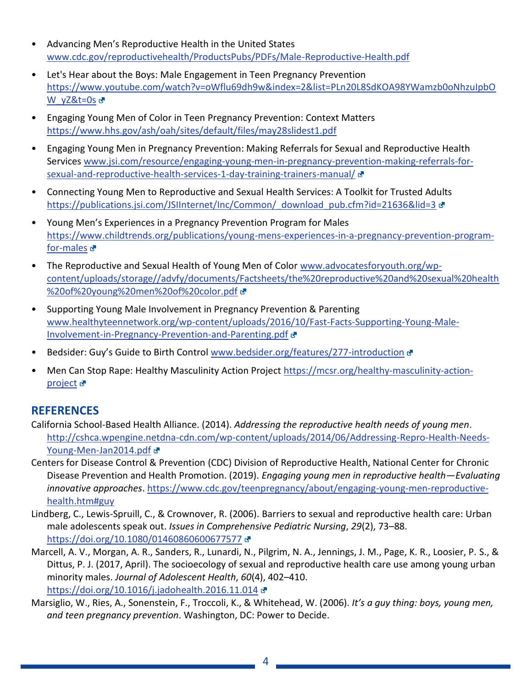- Advancing Men's Reproductive Health in the United States [www.cdc.gov/reproductivehealth/ProductsPubs/PDFs/Male-Reproductive-Health.pdf](http://www.cdc.gov/reproductivehealth/ProductsPubs/PDFs/Male-Reproductive-Health.pdf)
- Let's Hear about the Boys: Male Engagement in Teen Pregnancy Prevention [https://www.youtube.com/watch?v=oWflu69dh9w&index=2&list=PLn20L8SdKOA98YWamzb0oNhzuIpbO](https://www.youtube.com/watch?v=oWflu69dh9w&index=2&list=PLn20L8SdKOA98YWamzb0oNhzuIpbOW_yZ&t=0s) [W\\_yZ&t=0s](https://www.youtube.com/watch?v=oWflu69dh9w&index=2&list=PLn20L8SdKOA98YWamzb0oNhzuIpbOW_yZ&t=0s) &
- Engaging Young Men of Color in Teen Pregnancy Prevention: Context Matters <https://www.hhs.gov/ash/oah/sites/default/files/may28slidest1.pdf>
- Engaging Young Men in Pregnancy Prevention: Making Referrals for Sexual and Reproductive Health Services [www.jsi.com/resource/engaging-young-men-in-pregnancy-prevention-making-referrals-for](http://www.jsi.com/resource/engaging-young-men-in-pregnancy-prevention-making-referrals-for-sexual-and-reproductive-health-services-1-day-training-trainers-manual/)[sexual-and-reproductive-health-services-1-day-training-trainers-manual/](http://www.jsi.com/resource/engaging-young-men-in-pregnancy-prevention-making-referrals-for-sexual-and-reproductive-health-services-1-day-training-trainers-manual/)
- Connecting Young Men to Reproductive and Sexual Health Services: A Toolkit for Trusted Adults [https://publications.jsi.com/JSIInternet/Inc/Common/\\_download\\_pub.cfm?id=21636&lid=3](https://publications.jsi.com/JSIInternet/Inc/Common/_download_pub.cfm?id=21636&lid=3) &
- Young Men's Experiences in a Pregnancy Prevention Program for Males [https://www.childtrends.org/publications/young-mens-experiences-in-a-pregnancy-prevention-program](https://www.childtrends.org/publications/young-mens-experiences-in-a-pregnancy-prevention-program-for-males)[for-males](https://www.childtrends.org/publications/young-mens-experiences-in-a-pregnancy-prevention-program-for-males) &
- The Reproductive and Sexual Health of Young Men of Color [www.advocatesforyouth.org/wp](http://www.advocatesforyouth.org/wp-content/uploads/storage/advfy/documents/Factsheets/the%20reproductive%20and%20sexual%20health%20of%20young%20men%20of%20color.pdf)[content/uploads/storage//advfy/documents/Factsheets/the%20reproductive%20and%20sexual%20health](http://www.advocatesforyouth.org/wp-content/uploads/storage/advfy/documents/Factsheets/the%20reproductive%20and%20sexual%20health%20of%20young%20men%20of%20color.pdf) [%20of%20young%20men%20of%20color.pdf](http://www.advocatesforyouth.org/wp-content/uploads/storage/advfy/documents/Factsheets/the%20reproductive%20and%20sexual%20health%20of%20young%20men%20of%20color.pdf)
- Supporting Young Male Involvement in Pregnancy Prevention & Parenting [www.healthyteennetwork.org/wp-content/uploads/2016/10/Fast-Facts-Supporting-Young-Male-](http://www.healthyteennetwork.org/wp-content/uploads/2016/10/Fast-Facts-Supporting-Young-Male-Involvement-in-Pregnancy-Prevention-and-Parenting.pdf)[Involvement-in-Pregnancy-Prevention-and-Parenting.pdf](http://www.healthyteennetwork.org/wp-content/uploads/2016/10/Fast-Facts-Supporting-Young-Male-Involvement-in-Pregnancy-Prevention-and-Parenting.pdf)
- Bedsider: Guy's Guide to Birth Control [www.bedsider.org/features/277-introduction](http://www.bedsider.org/features/277-introduction) &
- Men Can Stop Rape: Healthy Masculinity Action Project [https://mcsr.org/healthy-masculinity-action](https://mcsr.org/healthy-masculinity-action-project)[project](https://mcsr.org/healthy-masculinity-action-project) **관**

## **REFERENCES**

- California School-Based Health Alliance. (2014). *Addressing the reproductive health needs of young men*. [http://cshca.wpengine.netdna-cdn.com/wp-content/uploads/2014/06/Addressing-Repro-Health-Needs-](http://cshca.wpengine.netdna-cdn.com/wp-content/uploads/2014/06/Addressing-Repro-Health-Needs-Young-Men-Jan2014.pdf)[Young-Men-Jan2014.pdf](http://cshca.wpengine.netdna-cdn.com/wp-content/uploads/2014/06/Addressing-Repro-Health-Needs-Young-Men-Jan2014.pdf)
- Centers for Disease Control & Prevention (CDC) Division of Reproductive Health, National Center for Chronic Disease Prevention and Health Promotion. (2019). *Engaging young men in reproductive health—Evaluating innovative approaches*. [https://www.cdc.gov/teenpregnancy/about/engaging-young-men-reproductive](https://www.cdc.gov/teenpregnancy/about/engaging-young-men-reproductive-health.htm#guy)[health.htm#guy](https://www.cdc.gov/teenpregnancy/about/engaging-young-men-reproductive-health.htm#guy)
- Lindberg, C., Lewis-Spruill, C., & Crownover, R. (2006). Barriers to sexual and reproductive health care: Urban male adolescents speak out. *Issues in Comprehensive Pediatric Nursing*, *29*(2), 73–88. <https://doi.org/10.1080/01460860600677577>
- Marcell, A. V., Morgan, A. R., Sanders, R., Lunardi, N., Pilgrim, N. A., Jennings, J. M., Page, K. R., Loosier, P. S., & Dittus, P. J. (2017, April). The socioecology of sexual and reproductive health care use among young urban minority males. *Journal of Adolescent Health*, *60*(4), 402–410. <https://doi.org/10.1016/j.jadohealth.2016.11.014>
- Marsiglio, W., Ries, A., Sonenstein, F., Troccoli, K., & Whitehead, W. (2006). *It's a guy thing: boys, young men, and teen pregnancy prevention*. Washington, DC: Power to Decide.